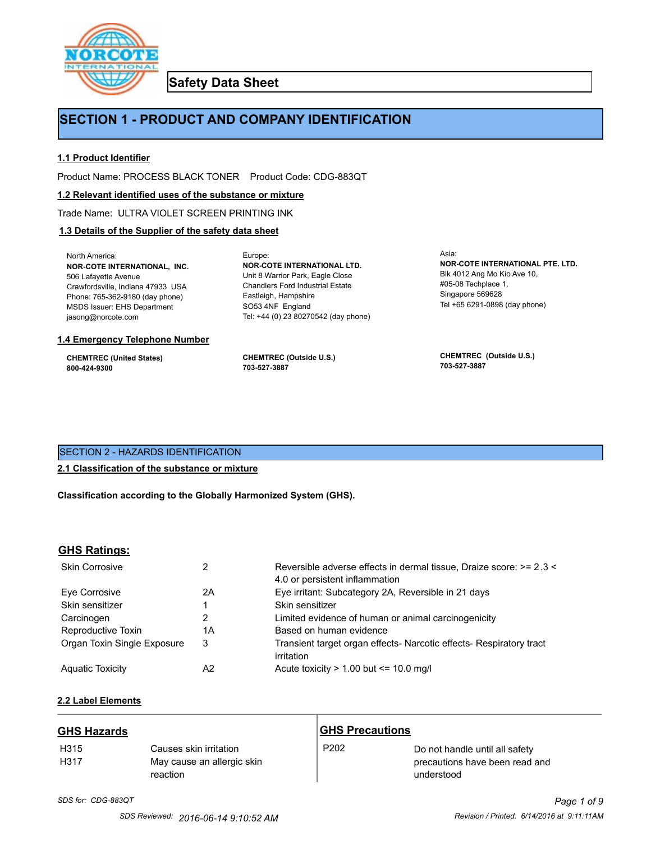

**Safety Data Sheet**

# **SECTION 1 - PRODUCT AND COMPANY IDENTIFICATION**

Europe:

## **1.1 Product Identifier**

Product Name: PROCESS BLACK TONER Product Code: CDG-883QT

#### **1.2 Relevant identified uses of the substance or mixture**

Trade Name: ULTRA VIOLET SCREEN PRINTING INK

## **1.3 Details of the Supplier of the safety data sheet**

North America: **NOR-COTE INTERNATIONAL, INC.** 506 Lafayette Avenue Crawfordsville, Indiana 47933 USA Phone: 765-362-9180 (day phone) MSDS Issuer: EHS Department jasong@norcote.com

#### **1.4 Emergency Telephone Number**

**CHEMTREC (United States) 800-424-9300**

**CHEMTREC (Outside U.S.) 703-527-3887**

Eastleigh, Hampshire SO53 4NF England

**NOR-COTE INTERNATIONAL LTD.** Unit 8 Warrior Park, Eagle Close Chandlers Ford Industrial Estate

Tel: +44 (0) 23 80270542 (day phone)

Asia: **NOR-COTE INTERNATIONAL PTE. LTD.** Blk 4012 Ang Mo Kio Ave 10, #05-08 Techplace 1, Singapore 569628 Tel +65 6291-0898 (day phone)

**CHEMTREC (Outside U.S.) 703-527-3887**

## SECTION 2 - HAZARDS IDENTIFICATION

#### **2.1 Classification of the substance or mixture**

**Classification according to the Globally Harmonized System (GHS).**

#### **GHS Ratings:**

| <b>Skin Corrosive</b>       | 2  | Reversible adverse effects in dermal tissue, Draize score: >= 2.3 <<br>4.0 or persistent inflammation |
|-----------------------------|----|-------------------------------------------------------------------------------------------------------|
| Eve Corrosive               | 2A | Eye irritant: Subcategory 2A, Reversible in 21 days                                                   |
| Skin sensitizer             |    | Skin sensitizer                                                                                       |
| Carcinogen                  |    | Limited evidence of human or animal carcinogenicity                                                   |
| Reproductive Toxin          | 1A | Based on human evidence                                                                               |
| Organ Toxin Single Exposure | 3  | Transient target organ effects- Narcotic effects- Respiratory tract<br>irritation                     |
| <b>Aguatic Toxicity</b>     | A2 | Acute toxicity $> 1.00$ but $\leq 10.0$ mg/l                                                          |

## **2.2 Label Elements**

| <b>GHS Hazards</b> |                                                                  | <b>GHS Precautions</b> |                                                                                |
|--------------------|------------------------------------------------------------------|------------------------|--------------------------------------------------------------------------------|
| H315<br>H317       | Causes skin irritation<br>May cause an allergic skin<br>reaction | P <sub>202</sub>       | Do not handle until all safety<br>precautions have been read and<br>understood |

## *SDS for: CDG-883QT Page 1 of 9 SDS Reviewed: 2016-06-14 9:10:52 AM Revision / Printed: 6/14/2016 at 9:11:11AM*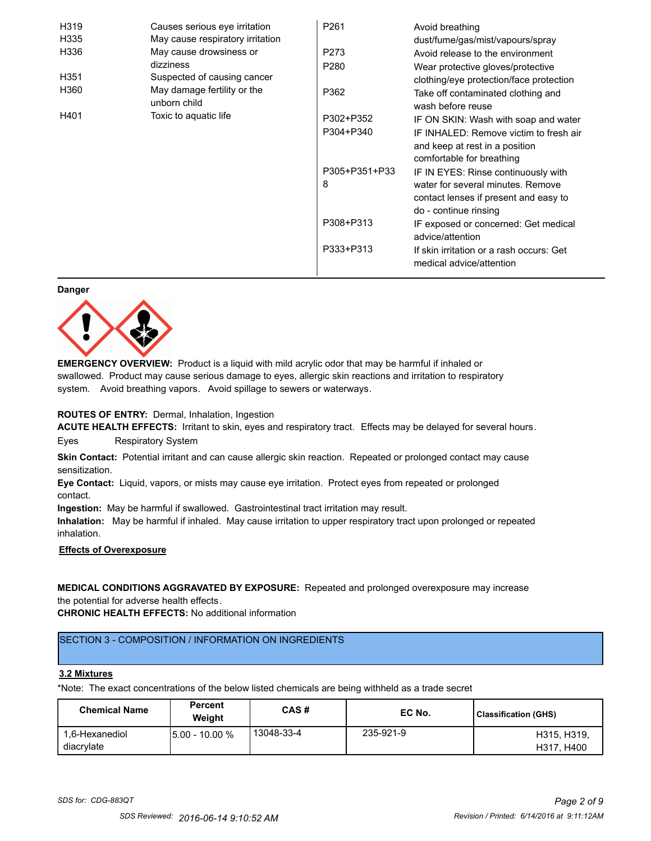| H319             | Causes serious eye irritation               | P <sub>261</sub> | Avoid breathing                                                      |
|------------------|---------------------------------------------|------------------|----------------------------------------------------------------------|
| H335             | May cause respiratory irritation            |                  | dust/fume/gas/mist/vapours/spray                                     |
| H336             | May cause drowsiness or                     | P273             | Avoid release to the environment                                     |
|                  | dizziness                                   | P <sub>280</sub> | Wear protective gloves/protective                                    |
| H <sub>351</sub> | Suspected of causing cancer                 |                  | clothing/eye protection/face protection                              |
| H360             | May damage fertility or the<br>unborn child | P362             | Take off contaminated clothing and<br>wash before reuse              |
| H401             | Toxic to aquatic life                       | P302+P352        | IF ON SKIN: Wash with soap and water                                 |
|                  |                                             | P304+P340        | IF INHALED: Remove victim to fresh air                               |
|                  |                                             |                  | and keep at rest in a position                                       |
|                  |                                             |                  | comfortable for breathing                                            |
|                  |                                             | P305+P351+P33    | IF IN EYES: Rinse continuously with                                  |
|                  |                                             | 8                | water for several minutes. Remove                                    |
|                  |                                             |                  | contact lenses if present and easy to                                |
|                  |                                             |                  | do - continue rinsing                                                |
|                  |                                             | P308+P313        | IF exposed or concerned: Get medical                                 |
|                  |                                             |                  | advice/attention                                                     |
|                  |                                             | P333+P313        | If skin irritation or a rash occurs: Get<br>medical advice/attention |

#### **Danger**



**EMERGENCY OVERVIEW:** Product is a liquid with mild acrylic odor that may be harmful if inhaled or swallowed. Product may cause serious damage to eyes, allergic skin reactions and irritation to respiratory system. Avoid breathing vapors. Avoid spillage to sewers or waterways.

#### **ROUTES OF ENTRY:** Dermal, Inhalation, Ingestion

**ACUTE HEALTH EFFECTS:** Irritant to skin, eyes and respiratory tract. Effects may be delayed for several hours. Eyes Respiratory System

**Skin Contact:** Potential irritant and can cause allergic skin reaction. Repeated or prolonged contact may cause sensitization.

**Eye Contact:** Liquid, vapors, or mists may cause eye irritation. Protect eyes from repeated or prolonged contact.

**Ingestion:** May be harmful if swallowed. Gastrointestinal tract irritation may result.

**Inhalation:** May be harmful if inhaled. May cause irritation to upper respiratory tract upon prolonged or repeated inhalation.

## **Effects of Overexposure**

**MEDICAL CONDITIONS AGGRAVATED BY EXPOSURE:** Repeated and prolonged overexposure may increase the potential for adverse health effects.

**CHRONIC HEALTH EFFECTS:** No additional information

## SECTION 3 - COMPOSITION / INFORMATION ON INGREDIENTS

#### **3.2 Mixtures**

\*Note: The exact concentrations of the below listed chemicals are being withheld as a trade secret

| <b>Chemical Name</b>         | <b>Percent</b><br>Weiaht | CAS#       | EC No.    | <b>Classification (GHS)</b> |
|------------------------------|--------------------------|------------|-----------|-----------------------------|
| 1.6-Hexanediol<br>diacrylate | 15.00 - 10.00 %          | 13048-33-4 | 235-921-9 | H315, H319,<br>H317, H400   |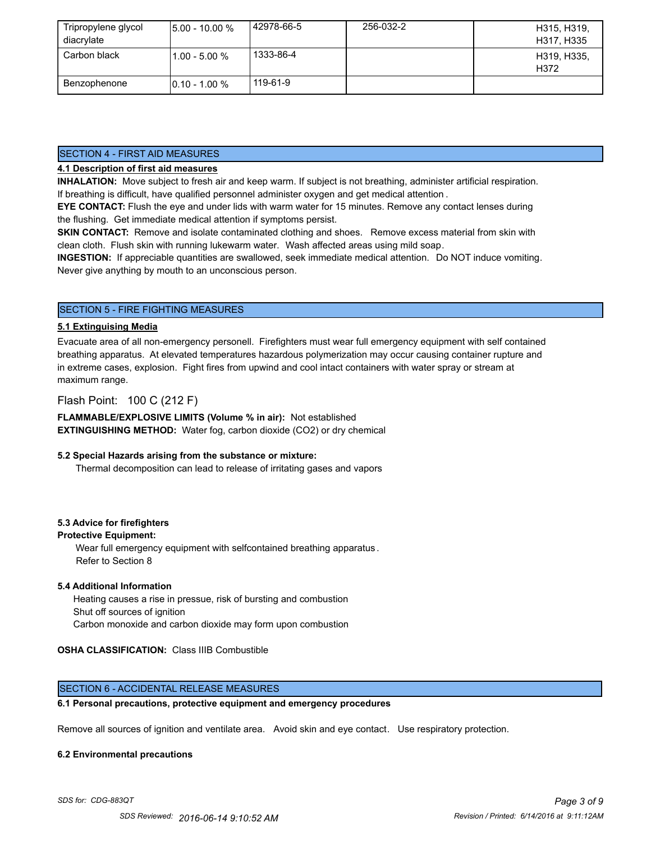| Tripropylene glycol | $15.00 - 10.00 %$ | 42978-66-5 | 256-032-2 | H315, H319,         |
|---------------------|-------------------|------------|-----------|---------------------|
| diacrylate          |                   |            |           | H317, H335          |
| Carbon black        | l1.00 - 5.00 %    | 1333-86-4  |           | H319, H335,<br>H372 |
| Benzophenone        | $10.10 - 1.00 %$  | 119-61-9   |           |                     |

## SECTION 4 - FIRST AID MEASURES

## **4.1 Description of first aid measures**

**INHALATION:** Move subject to fresh air and keep warm. If subject is not breathing, administer artificial respiration. If breathing is difficult, have qualified personnel administer oxygen and get medical attention .

**EYE CONTACT:** Flush the eye and under lids with warm water for 15 minutes. Remove any contact lenses during the flushing. Get immediate medical attention if symptoms persist.

**SKIN CONTACT:** Remove and isolate contaminated clothing and shoes. Remove excess material from skin with clean cloth. Flush skin with running lukewarm water. Wash affected areas using mild soap.

**INGESTION:** If appreciable quantities are swallowed, seek immediate medical attention. Do NOT induce vomiting. Never give anything by mouth to an unconscious person.

## SECTION 5 - FIRE FIGHTING MEASURES

#### **5.1 Extinguising Media**

Evacuate area of all non-emergency personell. Firefighters must wear full emergency equipment with self contained breathing apparatus. At elevated temperatures hazardous polymerization may occur causing container rupture and in extreme cases, explosion. Fight fires from upwind and cool intact containers with water spray or stream at maximum range.

## Flash Point: 100 C (212 F)

**FLAMMABLE/EXPLOSIVE LIMITS (Volume % in air):** Not established **EXTINGUISHING METHOD:** Water fog, carbon dioxide (CO2) or dry chemical

#### **5.2 Special Hazards arising from the substance or mixture:**

Thermal decomposition can lead to release of irritating gases and vapors

## **5.3 Advice for firefighters**

#### **Protective Equipment:**

Wear full emergency equipment with selfcontained breathing apparatus . Refer to Section 8

#### **5.4 Additional Information**

 Heating causes a rise in pressue, risk of bursting and combustion Shut off sources of ignition Carbon monoxide and carbon dioxide may form upon combustion

## **OSHA CLASSIFICATION:** Class IIIB Combustible

## SECTION 6 - ACCIDENTAL RELEASE MEASURES

#### **6.1 Personal precautions, protective equipment and emergency procedures**

Remove all sources of ignition and ventilate area. Avoid skin and eye contact. Use respiratory protection.

#### **6.2 Environmental precautions**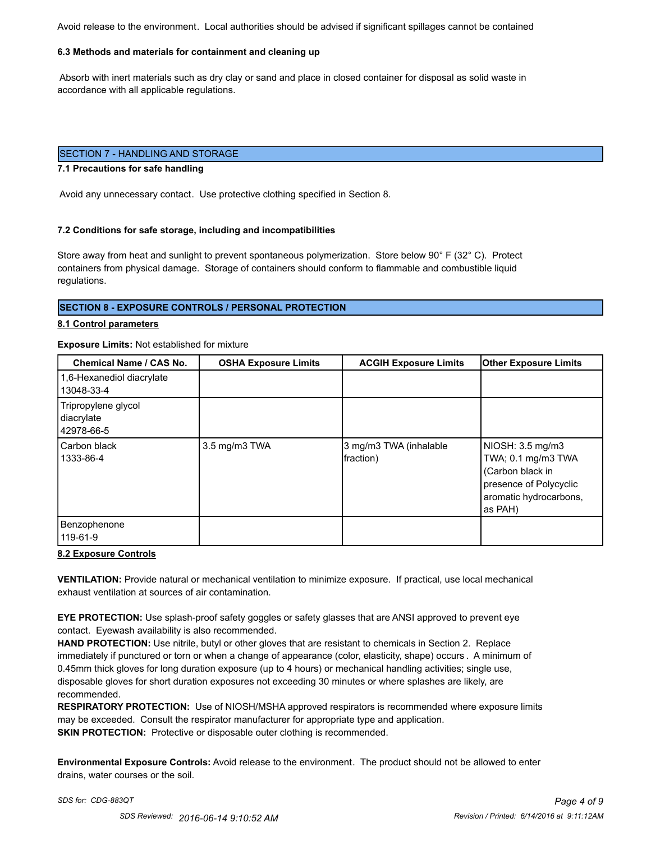Avoid release to the environment. Local authorities should be advised if significant spillages cannot be contained

#### **6.3 Methods and materials for containment and cleaning up**

 Absorb with inert materials such as dry clay or sand and place in closed container for disposal as solid waste in accordance with all applicable regulations.

#### SECTION 7 - HANDLING AND STORAGE

#### **7.1 Precautions for safe handling**

Avoid any unnecessary contact. Use protective clothing specified in Section 8.

#### **7.2 Conditions for safe storage, including and incompatibilities**

Store away from heat and sunlight to prevent spontaneous polymerization. Store below 90° F (32° C). Protect containers from physical damage. Storage of containers should conform to flammable and combustible liquid regulations.

#### **SECTION 8 - EXPOSURE CONTROLS / PERSONAL PROTECTION**

#### **8.1 Control parameters**

#### **Exposure Limits:** Not established for mixture

| <b>Chemical Name / CAS No.</b>                  | <b>OSHA Exposure Limits</b> | <b>ACGIH Exposure Limits</b>        | <b>Other Exposure Limits</b>                                                                                              |
|-------------------------------------------------|-----------------------------|-------------------------------------|---------------------------------------------------------------------------------------------------------------------------|
| 1,6-Hexanediol diacrylate<br>13048-33-4         |                             |                                     |                                                                                                                           |
| Tripropylene glycol<br>diacrylate<br>42978-66-5 |                             |                                     |                                                                                                                           |
| Carbon black<br>1333-86-4                       | 3.5 mg/m3 TWA               | 3 mg/m3 TWA (inhalable<br>fraction) | NIOSH: 3.5 mg/m3<br>TWA; 0.1 mg/m3 TWA<br>(Carbon black in<br>presence of Polycyclic<br>aromatic hydrocarbons,<br>as PAH) |
| Benzophenone<br>119-61-9                        |                             |                                     |                                                                                                                           |

#### **8.2 Exposure Controls**

**VENTILATION:** Provide natural or mechanical ventilation to minimize exposure. If practical, use local mechanical exhaust ventilation at sources of air contamination.

**EYE PROTECTION:** Use splash-proof safety goggles or safety glasses that are ANSI approved to prevent eye contact. Eyewash availability is also recommended.

**HAND PROTECTION:** Use nitrile, butyl or other gloves that are resistant to chemicals in Section 2. Replace immediately if punctured or torn or when a change of appearance (color, elasticity, shape) occurs . A minimum of 0.45mm thick gloves for long duration exposure (up to 4 hours) or mechanical handling activities; single use, disposable gloves for short duration exposures not exceeding 30 minutes or where splashes are likely, are recommended.

**RESPIRATORY PROTECTION:** Use of NIOSH/MSHA approved respirators is recommended where exposure limits may be exceeded. Consult the respirator manufacturer for appropriate type and application. **SKIN PROTECTION:** Protective or disposable outer clothing is recommended.

**Environmental Exposure Controls:** Avoid release to the environment. The product should not be allowed to enter drains, water courses or the soil.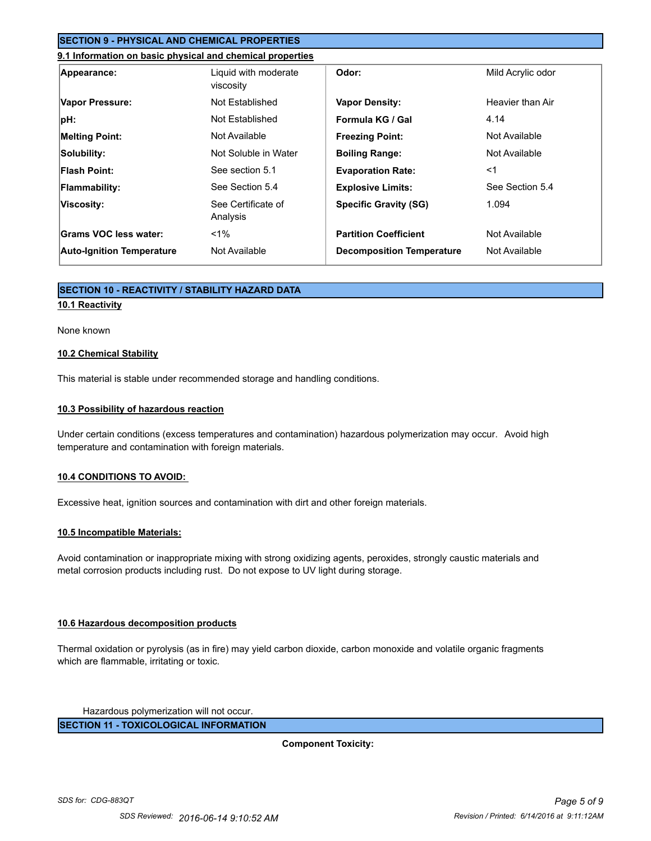## **SECTION 9 - PHYSICAL AND CHEMICAL PROPERTIES**

#### **9.1 Information on basic physical and chemical properties**

| Appearance:                      | Liquid with moderate<br>viscosity | Odor:                            | Mild Acrylic odor |
|----------------------------------|-----------------------------------|----------------------------------|-------------------|
| Vapor Pressure:                  | Not Established                   | <b>Vapor Density:</b>            | Heavier than Air  |
| $ pH$ :                          | Not Established                   | Formula KG / Gal                 | 4.14              |
| <b>Melting Point:</b>            | Not Available                     | <b>Freezing Point:</b>           | Not Available     |
| Solubility:                      | Not Soluble in Water              | <b>Boiling Range:</b>            | Not Available     |
| <b>Flash Point:</b>              | See section 5.1                   | <b>Evaporation Rate:</b>         | $<$ 1             |
| <b>Flammability:</b>             | See Section 5.4                   | <b>Explosive Limits:</b>         | See Section 5.4   |
| Viscosity:                       | See Certificate of<br>Analysis    | <b>Specific Gravity (SG)</b>     | 1.094             |
| Grams VOC less water:            | $1\%$                             | <b>Partition Coefficient</b>     | Not Available     |
| <b>Auto-Ignition Temperature</b> | Not Available                     | <b>Decomposition Temperature</b> | Not Available     |

## **SECTION 10 - REACTIVITY / STABILITY HAZARD DATA**

## **10.1 Reactivity**

#### None known

#### **10.2 Chemical Stability**

This material is stable under recommended storage and handling conditions.

#### **10.3 Possibility of hazardous reaction**

Under certain conditions (excess temperatures and contamination) hazardous polymerization may occur. Avoid high temperature and contamination with foreign materials.

#### **10.4 CONDITIONS TO AVOID:**

Excessive heat, ignition sources and contamination with dirt and other foreign materials.

#### **10.5 Incompatible Materials:**

Avoid contamination or inappropriate mixing with strong oxidizing agents, peroxides, strongly caustic materials and metal corrosion products including rust. Do not expose to UV light during storage.

#### **10.6 Hazardous decomposition products**

Thermal oxidation or pyrolysis (as in fire) may yield carbon dioxide, carbon monoxide and volatile organic fragments which are flammable, irritating or toxic.

Hazardous polymerization will not occur.

**SECTION 11 - TOXICOLOGICAL INFORMATION**

**Component Toxicity:**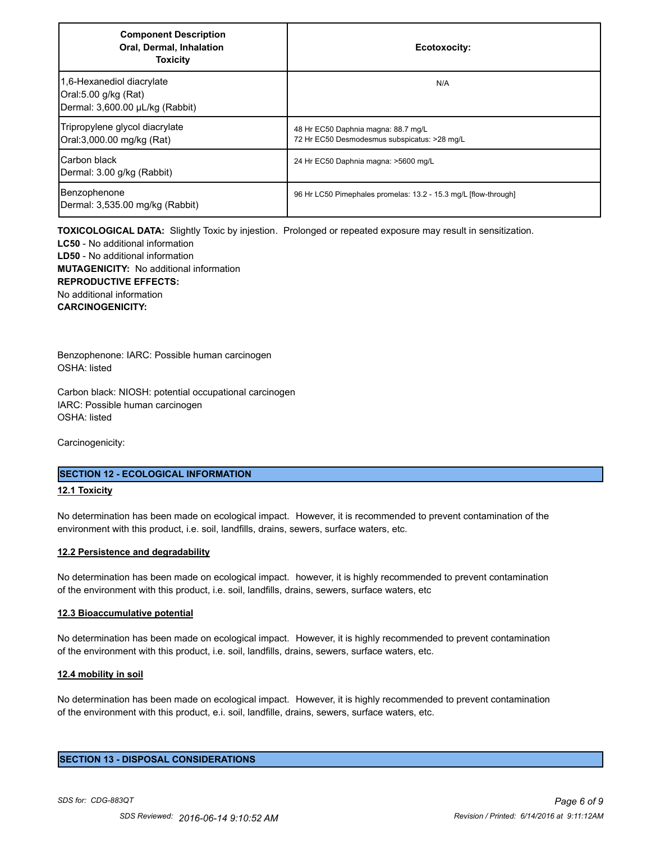| <b>Component Description</b><br>Oral, Dermal, Inhalation<br><b>Toxicity</b>          | Ecotoxocity:                                                                        |
|--------------------------------------------------------------------------------------|-------------------------------------------------------------------------------------|
| 1,6-Hexanediol diacrylate<br>Oral:5.00 g/kg (Rat)<br>Dermal: 3,600.00 µL/kg (Rabbit) | N/A                                                                                 |
| Tripropylene glycol diacrylate<br>Oral:3,000.00 mg/kg (Rat)                          | 48 Hr EC50 Daphnia magna: 88.7 mg/L<br>72 Hr EC50 Desmodesmus subspicatus: >28 mg/L |
| Carbon black<br>Dermal: 3.00 g/kg (Rabbit)                                           | 24 Hr EC50 Daphnia magna: >5600 mg/L                                                |
| Benzophenone<br>Dermal: 3,535.00 mg/kg (Rabbit)                                      | 96 Hr LC50 Pimephales promelas: 13.2 - 15.3 mg/L [flow-through]                     |

**TOXICOLOGICAL DATA:** Slightly Toxic by injestion. Prolonged or repeated exposure may result in sensitization. **LC50** - No additional information **LD50** - No additional information **MUTAGENICITY:** No additional information **REPRODUCTIVE EFFECTS:** No additional information **CARCINOGENICITY:**

Benzophenone: IARC: Possible human carcinogen OSHA: listed

Carbon black: NIOSH: potential occupational carcinogen IARC: Possible human carcinogen OSHA: listed

Carcinogenicity:

#### **SECTION 12 - ECOLOGICAL INFORMATION**

#### **12.1 Toxicity**

No determination has been made on ecological impact. However, it is recommended to prevent contamination of the environment with this product, i.e. soil, landfills, drains, sewers, surface waters, etc.

#### **12.2 Persistence and degradability**

No determination has been made on ecological impact. however, it is highly recommended to prevent contamination of the environment with this product, i.e. soil, landfills, drains, sewers, surface waters, etc

#### **12.3 Bioaccumulative potential**

No determination has been made on ecological impact. However, it is highly recommended to prevent contamination of the environment with this product, i.e. soil, landfills, drains, sewers, surface waters, etc.

#### **12.4 mobility in soil**

No determination has been made on ecological impact. However, it is highly recommended to prevent contamination of the environment with this product, e.i. soil, landfille, drains, sewers, surface waters, etc.

## **SECTION 13 - DISPOSAL CONSIDERATIONS**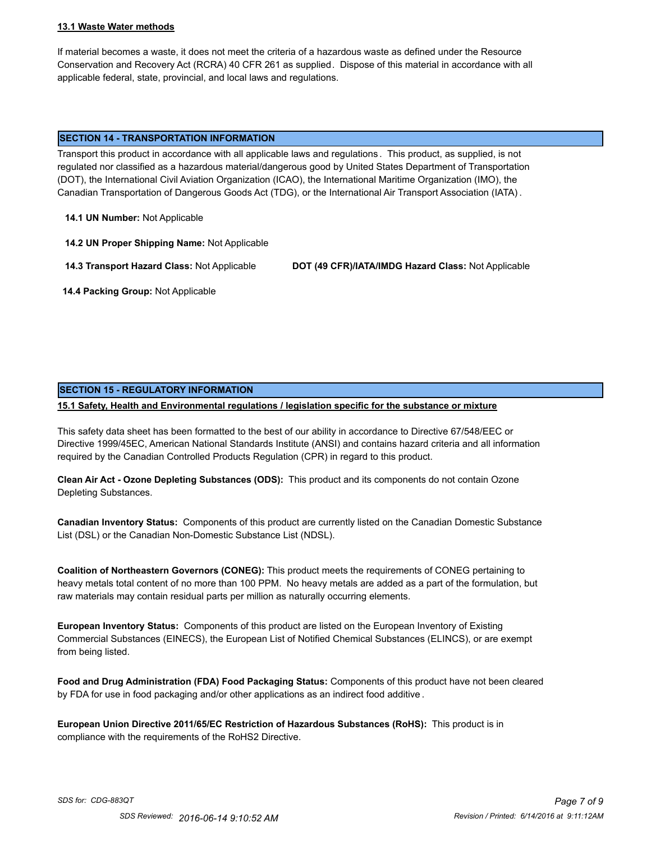#### **13.1 Waste Water methods**

If material becomes a waste, it does not meet the criteria of a hazardous waste as defined under the Resource Conservation and Recovery Act (RCRA) 40 CFR 261 as supplied. Dispose of this material in accordance with all applicable federal, state, provincial, and local laws and regulations.

#### **SECTION 14 - TRANSPORTATION INFORMATION**

Transport this product in accordance with all applicable laws and regulations . This product, as supplied, is not regulated nor classified as a hazardous material/dangerous good by United States Department of Transportation (DOT), the International Civil Aviation Organization (ICAO), the International Maritime Organization (IMO), the Canadian Transportation of Dangerous Goods Act (TDG), or the International Air Transport Association (IATA) .

**14.1 UN Number:** Not Applicable

**14.2 UN Proper Shipping Name:** Not Applicable

**14.3 Transport Hazard Class:** Not Applicable **DOT (49 CFR)/IATA/IMDG Hazard Class:** Not Applicable

 **14.4 Packing Group:** Not Applicable

#### **SECTION 15 - REGULATORY INFORMATION**

**15.1 Safety, Health and Environmental regulations / legislation specific for the substance or mixture**

This safety data sheet has been formatted to the best of our ability in accordance to Directive 67/548/EEC or Directive 1999/45EC, American National Standards Institute (ANSI) and contains hazard criteria and all information required by the Canadian Controlled Products Regulation (CPR) in regard to this product.

**Clean Air Act - Ozone Depleting Substances (ODS):** This product and its components do not contain Ozone Depleting Substances.

**Canadian Inventory Status:** Components of this product are currently listed on the Canadian Domestic Substance List (DSL) or the Canadian Non-Domestic Substance List (NDSL).

**Coalition of Northeastern Governors (CONEG):** This product meets the requirements of CONEG pertaining to heavy metals total content of no more than 100 PPM. No heavy metals are added as a part of the formulation, but raw materials may contain residual parts per million as naturally occurring elements.

**European Inventory Status:** Components of this product are listed on the European Inventory of Existing Commercial Substances (EINECS), the European List of Notified Chemical Substances (ELINCS), or are exempt from being listed.

**Food and Drug Administration (FDA) Food Packaging Status:** Components of this product have not been cleared by FDA for use in food packaging and/or other applications as an indirect food additive .

**European Union Directive 2011/65/EC Restriction of Hazardous Substances (RoHS):** This product is in compliance with the requirements of the RoHS2 Directive.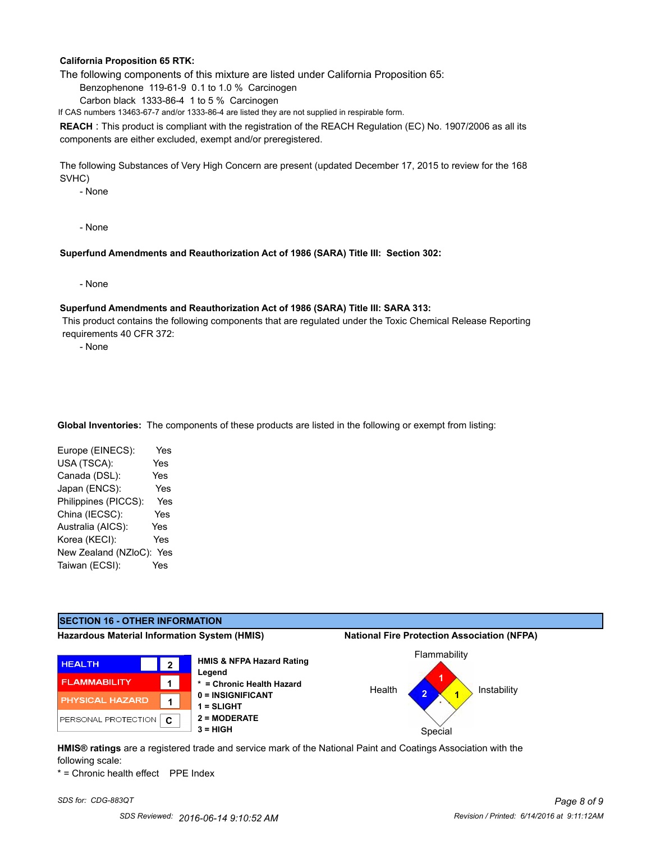#### **California Proposition 65 RTK:**

The following components of this mixture are listed under California Proposition 65:

Benzophenone 119-61-9 0.1 to 1.0 % Carcinogen

Carbon black 1333-86-4 1 to 5 % Carcinogen

If CAS numbers 13463-67-7 and/or 1333-86-4 are listed they are not supplied in respirable form.

**REACH** : This product is compliant with the registration of the REACH Regulation (EC) No. 1907/2006 as all its components are either excluded, exempt and/or preregistered.

The following Substances of Very High Concern are present (updated December 17, 2015 to review for the 168 SVHC)

- None

- None

#### **Superfund Amendments and Reauthorization Act of 1986 (SARA) Title III: Section 302:**

- None

#### **Superfund Amendments and Reauthorization Act of 1986 (SARA) Title III: SARA 313:**

 This product contains the following components that are regulated under the Toxic Chemical Release Reporting requirements 40 CFR 372:

- None

**Global Inventories:** The components of these products are listed in the following or exempt from listing:

| Yes                         |
|-----------------------------|
| Yes                         |
| Yes                         |
| Yes                         |
| Yes                         |
| Yes                         |
| Yes                         |
| Yes                         |
| New Zealand (NZloC):<br>Yes |
| Yes                         |
|                             |

## **SECTION 16 - OTHER INFORMATION**

**Hazardous Material Information System (HMIS) National Fire Protection Association (NFPA)**







**HMIS® ratings** are a registered trade and service mark of the National Paint and Coatings Association with the following scale:

\* = Chronic health effect PPE Index